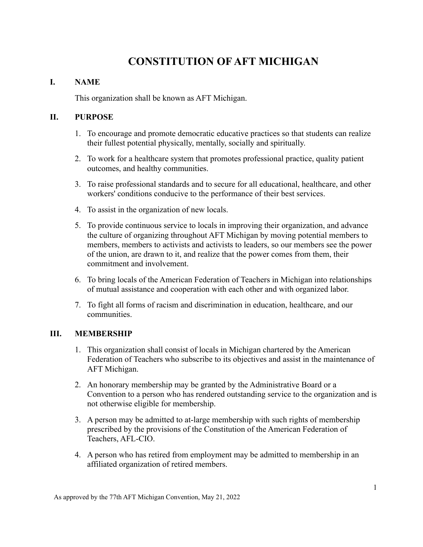# **CONSTITUTION OF AFT MICHIGAN**

## **I. NAME**

This organization shall be known as AFT Michigan.

## **II. PURPOSE**

- 1. To encourage and promote democratic educative practices so that students can realize their fullest potential physically, mentally, socially and spiritually.
- 2. To work for a healthcare system that promotes professional practice, quality patient outcomes, and healthy communities.
- 3. To raise professional standards and to secure for all educational, healthcare, and other workers' conditions conducive to the performance of their best services.
- 4. To assist in the organization of new locals.
- 5. To provide continuous service to locals in improving their organization, and advance the culture of organizing throughout AFT Michigan by moving potential members to members, members to activists and activists to leaders, so our members see the power of the union, are drawn to it, and realize that the power comes from them, their commitment and involvement.
- 6. To bring locals of the American Federation of Teachers in Michigan into relationships of mutual assistance and cooperation with each other and with organized labor.
- 7. To fight all forms of racism and discrimination in education, healthcare, and our communities.

# **III. MEMBERSHIP**

- 1. This organization shall consist of locals in Michigan chartered by the American Federation of Teachers who subscribe to its objectives and assist in the maintenance of AFT Michigan.
- 2. An honorary membership may be granted by the Administrative Board or a Convention to a person who has rendered outstanding service to the organization and is not otherwise eligible for membership.
- 3. A person may be admitted to at-large membership with such rights of membership prescribed by the provisions of the Constitution of the American Federation of Teachers, AFL-CIO.
- 4. A person who has retired from employment may be admitted to membership in an affiliated organization of retired members.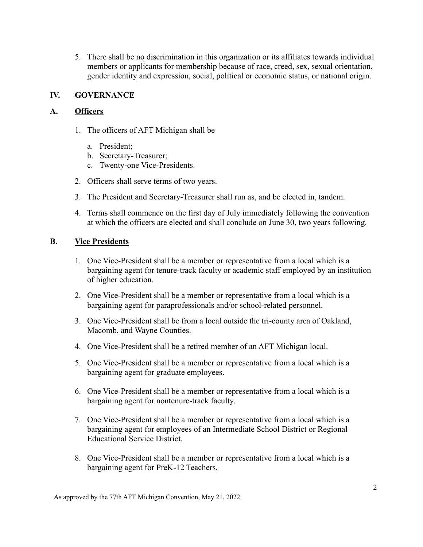5. There shall be no discrimination in this organization or its affiliates towards individual members or applicants for membership because of race, creed, sex, sexual orientation, gender identity and expression, social, political or economic status, or national origin.

### **IV. GOVERNANCE**

#### **A. Officers**

- 1. The officers of AFT Michigan shall be
	- a. President;
	- b. Secretary-Treasurer;
	- c. Twenty-one Vice-Presidents.
- 2. Officers shall serve terms of two years.
- 3. The President and Secretary-Treasurer shall run as, and be elected in, tandem.
- 4. Terms shall commence on the first day of July immediately following the convention at which the officers are elected and shall conclude on June 30, two years following.

#### **B. Vice Presidents**

- 1. One Vice-President shall be a member or representative from a local which is a bargaining agent for tenure-track faculty or academic staff employed by an institution of higher education.
- 2. One Vice-President shall be a member or representative from a local which is a bargaining agent for paraprofessionals and/or school-related personnel.
- 3. One Vice-President shall be from a local outside the tri-county area of Oakland, Macomb, and Wayne Counties.
- 4. One Vice-President shall be a retired member of an AFT Michigan local.
- 5. One Vice-President shall be a member or representative from a local which is a bargaining agent for graduate employees.
- 6. One Vice-President shall be a member or representative from a local which is a bargaining agent for nontenure-track faculty.
- 7. One Vice-President shall be a member or representative from a local which is a bargaining agent for employees of an Intermediate School District or Regional Educational Service District.
- 8. One Vice-President shall be a member or representative from a local which is a bargaining agent for PreK-12 Teachers.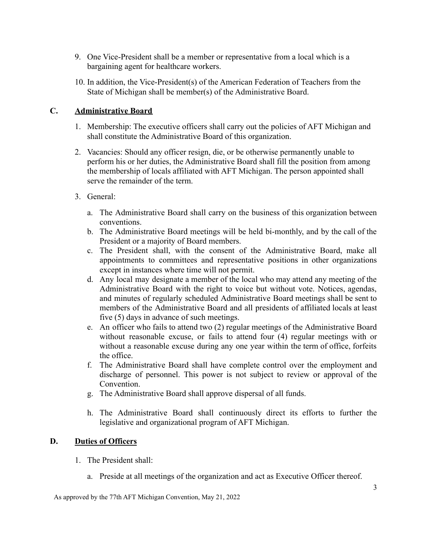- 9. One Vice-President shall be a member or representative from a local which is a bargaining agent for healthcare workers.
- 10. In addition, the Vice-President(s) of the American Federation of Teachers from the State of Michigan shall be member(s) of the Administrative Board.

## **C. Administrative Board**

- 1. Membership: The executive officers shall carry out the policies of AFT Michigan and shall constitute the Administrative Board of this organization.
- 2. Vacancies: Should any officer resign, die, or be otherwise permanently unable to perform his or her duties, the Administrative Board shall fill the position from among the membership of locals affiliated with AFT Michigan. The person appointed shall serve the remainder of the term.
- 3. General:
	- a. The Administrative Board shall carry on the business of this organization between conventions.
	- b. The Administrative Board meetings will be held bi-monthly, and by the call of the President or a majority of Board members.
	- c. The President shall, with the consent of the Administrative Board, make all appointments to committees and representative positions in other organizations except in instances where time will not permit.
	- d. Any local may designate a member of the local who may attend any meeting of the Administrative Board with the right to voice but without vote. Notices, agendas, and minutes of regularly scheduled Administrative Board meetings shall be sent to members of the Administrative Board and all presidents of affiliated locals at least five (5) days in advance of such meetings.
	- e. An officer who fails to attend two (2) regular meetings of the Administrative Board without reasonable excuse, or fails to attend four (4) regular meetings with or without a reasonable excuse during any one year within the term of office, forfeits the office.
	- f. The Administrative Board shall have complete control over the employment and discharge of personnel. This power is not subject to review or approval of the Convention.
	- g. The Administrative Board shall approve dispersal of all funds.
	- h. The Administrative Board shall continuously direct its efforts to further the legislative and organizational program of AFT Michigan.

# **D. Duties of Officers**

- 1. The President shall:
	- a. Preside at all meetings of the organization and act as Executive Officer thereof.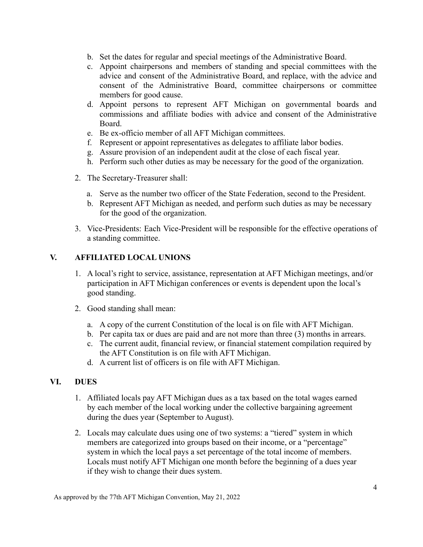- b. Set the dates for regular and special meetings of the Administrative Board.
- c. Appoint chairpersons and members of standing and special committees with the advice and consent of the Administrative Board, and replace, with the advice and consent of the Administrative Board, committee chairpersons or committee members for good cause.
- d. Appoint persons to represent AFT Michigan on governmental boards and commissions and affiliate bodies with advice and consent of the Administrative Board.
- e. Be ex-officio member of all AFT Michigan committees.
- f. Represent or appoint representatives as delegates to affiliate labor bodies.
- g. Assure provision of an independent audit at the close of each fiscal year.
- h. Perform such other duties as may be necessary for the good of the organization.
- 2. The Secretary-Treasurer shall:
	- a. Serve as the number two officer of the State Federation, second to the President.
	- b. Represent AFT Michigan as needed, and perform such duties as may be necessary for the good of the organization.
- 3. Vice-Presidents: Each Vice-President will be responsible for the effective operations of a standing committee.

#### **V. AFFILIATED LOCAL UNIONS**

- 1. A local's right to service, assistance, representation at AFT Michigan meetings, and/or participation in AFT Michigan conferences or events is dependent upon the local's good standing.
- 2. Good standing shall mean:
	- a. A copy of the current Constitution of the local is on file with AFT Michigan.
	- b. Per capita tax or dues are paid and are not more than three (3) months in arrears.
	- c. The current audit, financial review, or financial statement compilation required by the AFT Constitution is on file with AFT Michigan.
	- d. A current list of officers is on file with AFT Michigan.

## **VI. DUES**

- 1. Affiliated locals pay AFT Michigan dues as a tax based on the total wages earned by each member of the local working under the collective bargaining agreement during the dues year (September to August).
- 2. Locals may calculate dues using one of two systems: a "tiered" system in which members are categorized into groups based on their income, or a "percentage" system in which the local pays a set percentage of the total income of members. Locals must notify AFT Michigan one month before the beginning of a dues year if they wish to change their dues system.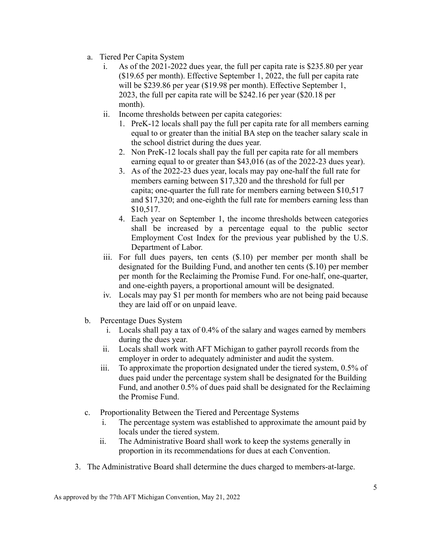- a. Tiered Per Capita System
	- i. As of the 2021-2022 dues year, the full per capita rate is \$235.80 per year (\$19.65 per month). Effective September 1, 2022, the full per capita rate will be \$239.86 per year (\$19.98 per month). Effective September 1, 2023, the full per capita rate will be \$242.16 per year (\$20.18 per month).
	- ii. Income thresholds between per capita categories:
		- 1. PreK-12 locals shall pay the full per capita rate for all members earning equal to or greater than the initial BA step on the teacher salary scale in the school district during the dues year.
		- 2. Non PreK-12 locals shall pay the full per capita rate for all members earning equal to or greater than \$43,016 (as of the 2022-23 dues year).
		- 3. As of the 2022-23 dues year, locals may pay one-half the full rate for members earning between \$17,320 and the threshold for full per capita; one-quarter the full rate for members earning between \$10,517 and \$17,320; and one-eighth the full rate for members earning less than \$10,517.
		- 4. Each year on September 1, the income thresholds between categories shall be increased by a percentage equal to the public sector Employment Cost Index for the previous year published by the U.S. Department of Labor.
	- iii. For full dues payers, ten cents (\$.10) per member per month shall be designated for the Building Fund, and another ten cents (\$.10) per member per month for the Reclaiming the Promise Fund. For one-half, one-quarter, and one-eighth payers, a proportional amount will be designated.
	- iv. Locals may pay \$1 per month for members who are not being paid because they are laid off or on unpaid leave.
- b. Percentage Dues System
	- i. Locals shall pay a tax of 0.4% of the salary and wages earned by members during the dues year.
	- ii. Locals shall work with AFT Michigan to gather payroll records from the employer in order to adequately administer and audit the system.
	- iii. To approximate the proportion designated under the tiered system, 0.5% of dues paid under the percentage system shall be designated for the Building Fund, and another 0.5% of dues paid shall be designated for the Reclaiming the Promise Fund.
- c. Proportionality Between the Tiered and Percentage Systems
	- i. The percentage system was established to approximate the amount paid by locals under the tiered system.
	- ii. The Administrative Board shall work to keep the systems generally in proportion in its recommendations for dues at each Convention.
- 3. The Administrative Board shall determine the dues charged to members-at-large.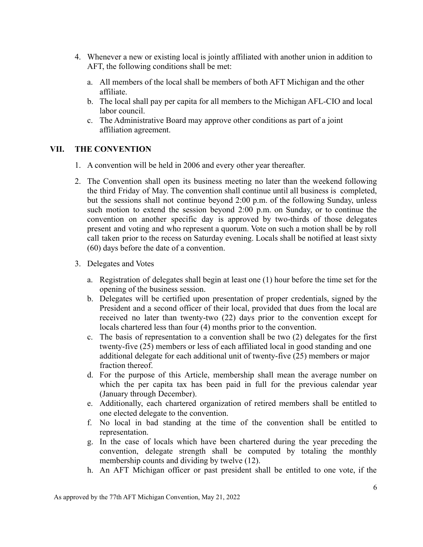- 4. Whenever a new or existing local is jointly affiliated with another union in addition to AFT, the following conditions shall be met:
	- a. All members of the local shall be members of both AFT Michigan and the other affiliate.
	- b. The local shall pay per capita for all members to the Michigan AFL-CIO and local labor council.
	- c. The Administrative Board may approve other conditions as part of a joint affiliation agreement.

#### **VII. THE CONVENTION**

- 1. A convention will be held in 2006 and every other year thereafter.
- 2. The Convention shall open its business meeting no later than the weekend following the third Friday of May. The convention shall continue until all business is completed, but the sessions shall not continue beyond 2:00 p.m. of the following Sunday, unless such motion to extend the session beyond 2:00 p.m. on Sunday, or to continue the convention on another specific day is approved by two-thirds of those delegates present and voting and who represent a quorum. Vote on such a motion shall be by roll call taken prior to the recess on Saturday evening. Locals shall be notified at least sixty (60) days before the date of a convention.
- 3. Delegates and Votes
	- a. Registration of delegates shall begin at least one (1) hour before the time set for the opening of the business session.
	- b. Delegates will be certified upon presentation of proper credentials, signed by the President and a second officer of their local, provided that dues from the local are received no later than twenty-two (22) days prior to the convention except for locals chartered less than four (4) months prior to the convention.
	- c. The basis of representation to a convention shall be two (2) delegates for the first twenty-five (25) members or less of each affiliated local in good standing and one additional delegate for each additional unit of twenty-five (25) members or major fraction thereof.
	- d. For the purpose of this Article, membership shall mean the average number on which the per capita tax has been paid in full for the previous calendar year (January through December).
	- e. Additionally, each chartered organization of retired members shall be entitled to one elected delegate to the convention.
	- f. No local in bad standing at the time of the convention shall be entitled to representation.
	- g. In the case of locals which have been chartered during the year preceding the convention, delegate strength shall be computed by totaling the monthly membership counts and dividing by twelve (12).
	- h. An AFT Michigan officer or past president shall be entitled to one vote, if the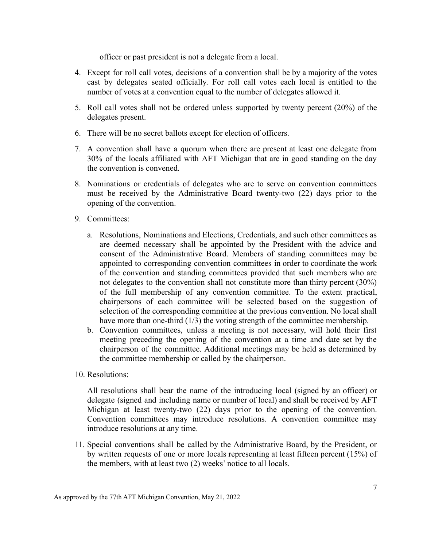officer or past president is not a delegate from a local.

- 4. Except for roll call votes, decisions of a convention shall be by a majority of the votes cast by delegates seated officially. For roll call votes each local is entitled to the number of votes at a convention equal to the number of delegates allowed it.
- 5. Roll call votes shall not be ordered unless supported by twenty percent (20%) of the delegates present.
- 6. There will be no secret ballots except for election of officers.
- 7. A convention shall have a quorum when there are present at least one delegate from 30% of the locals affiliated with AFT Michigan that are in good standing on the day the convention is convened.
- 8. Nominations or credentials of delegates who are to serve on convention committees must be received by the Administrative Board twenty-two (22) days prior to the opening of the convention.
- 9. Committees:
	- a. Resolutions, Nominations and Elections, Credentials, and such other committees as are deemed necessary shall be appointed by the President with the advice and consent of the Administrative Board. Members of standing committees may be appointed to corresponding convention committees in order to coordinate the work of the convention and standing committees provided that such members who are not delegates to the convention shall not constitute more than thirty percent (30%) of the full membership of any convention committee. To the extent practical, chairpersons of each committee will be selected based on the suggestion of selection of the corresponding committee at the previous convention. No local shall have more than one-third (1/3) the voting strength of the committee membership.
	- b. Convention committees, unless a meeting is not necessary, will hold their first meeting preceding the opening of the convention at a time and date set by the chairperson of the committee. Additional meetings may be held as determined by the committee membership or called by the chairperson.
- 10. Resolutions:

All resolutions shall bear the name of the introducing local (signed by an officer) or delegate (signed and including name or number of local) and shall be received by AFT Michigan at least twenty-two (22) days prior to the opening of the convention. Convention committees may introduce resolutions. A convention committee may introduce resolutions at any time.

11. Special conventions shall be called by the Administrative Board, by the President, or by written requests of one or more locals representing at least fifteen percent (15%) of the members, with at least two (2) weeks' notice to all locals.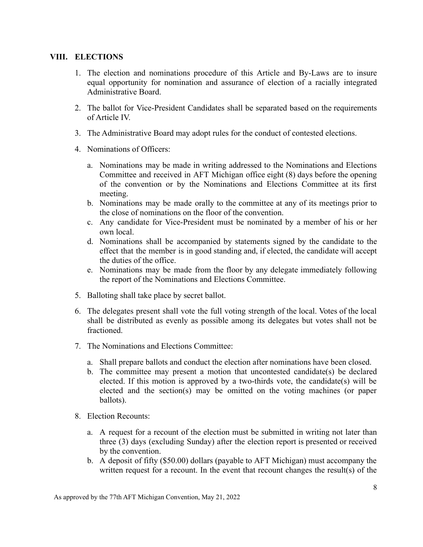### **VIII. ELECTIONS**

- 1. The election and nominations procedure of this Article and By-Laws are to insure equal opportunity for nomination and assurance of election of a racially integrated Administrative Board.
- 2. The ballot for Vice-President Candidates shall be separated based on the requirements of Article IV.
- 3. The Administrative Board may adopt rules for the conduct of contested elections.
- 4. Nominations of Officers:
	- a. Nominations may be made in writing addressed to the Nominations and Elections Committee and received in AFT Michigan office eight (8) days before the opening of the convention or by the Nominations and Elections Committee at its first meeting.
	- b. Nominations may be made orally to the committee at any of its meetings prior to the close of nominations on the floor of the convention.
	- c. Any candidate for Vice-President must be nominated by a member of his or her own local.
	- d. Nominations shall be accompanied by statements signed by the candidate to the effect that the member is in good standing and, if elected, the candidate will accept the duties of the office.
	- e. Nominations may be made from the floor by any delegate immediately following the report of the Nominations and Elections Committee.
- 5. Balloting shall take place by secret ballot.
- 6. The delegates present shall vote the full voting strength of the local. Votes of the local shall be distributed as evenly as possible among its delegates but votes shall not be fractioned.
- 7. The Nominations and Elections Committee:
	- a. Shall prepare ballots and conduct the election after nominations have been closed.
	- b. The committee may present a motion that uncontested candidate(s) be declared elected. If this motion is approved by a two-thirds vote, the candidate(s) will be elected and the section(s) may be omitted on the voting machines (or paper ballots).
- 8. Election Recounts:
	- a. A request for a recount of the election must be submitted in writing not later than three (3) days (excluding Sunday) after the election report is presented or received by the convention.
	- b. A deposit of fifty (\$50.00) dollars (payable to AFT Michigan) must accompany the written request for a recount. In the event that recount changes the result(s) of the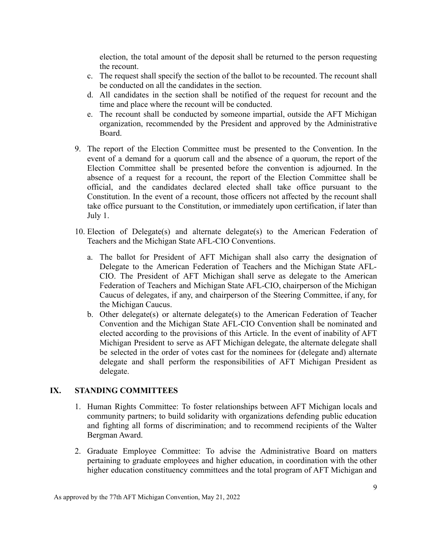election, the total amount of the deposit shall be returned to the person requesting the recount.

- c. The request shall specify the section of the ballot to be recounted. The recount shall be conducted on all the candidates in the section.
- d. All candidates in the section shall be notified of the request for recount and the time and place where the recount will be conducted.
- e. The recount shall be conducted by someone impartial, outside the AFT Michigan organization, recommended by the President and approved by the Administrative Board.
- 9. The report of the Election Committee must be presented to the Convention. In the event of a demand for a quorum call and the absence of a quorum, the report of the Election Committee shall be presented before the convention is adjourned. In the absence of a request for a recount, the report of the Election Committee shall be official, and the candidates declared elected shall take office pursuant to the Constitution. In the event of a recount, those officers not affected by the recount shall take office pursuant to the Constitution, or immediately upon certification, if later than July 1.
- 10. Election of Delegate(s) and alternate delegate(s) to the American Federation of Teachers and the Michigan State AFL-CIO Conventions.
	- a. The ballot for President of AFT Michigan shall also carry the designation of Delegate to the American Federation of Teachers and the Michigan State AFL-CIO. The President of AFT Michigan shall serve as delegate to the American Federation of Teachers and Michigan State AFL-CIO, chairperson of the Michigan Caucus of delegates, if any, and chairperson of the Steering Committee, if any, for the Michigan Caucus.
	- b. Other delegate(s) or alternate delegate(s) to the American Federation of Teacher Convention and the Michigan State AFL-CIO Convention shall be nominated and elected according to the provisions of this Article. In the event of inability of AFT Michigan President to serve as AFT Michigan delegate, the alternate delegate shall be selected in the order of votes cast for the nominees for (delegate and) alternate delegate and shall perform the responsibilities of AFT Michigan President as delegate.

#### **IX. STANDING COMMITTEES**

- 1. Human Rights Committee: To foster relationships between AFT Michigan locals and community partners; to build solidarity with organizations defending public education and fighting all forms of discrimination; and to recommend recipients of the Walter Bergman Award.
- 2. Graduate Employee Committee: To advise the Administrative Board on matters pertaining to graduate employees and higher education, in coordination with the other higher education constituency committees and the total program of AFT Michigan and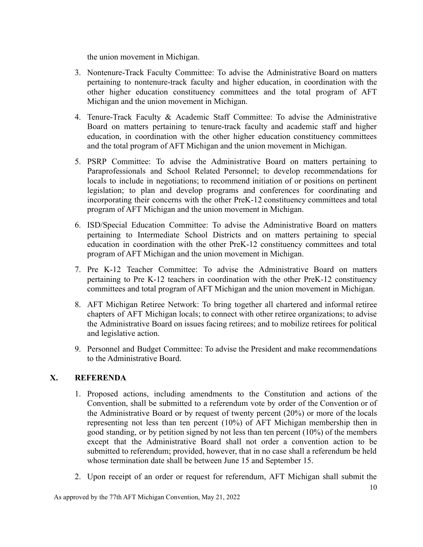the union movement in Michigan.

- 3. Nontenure-Track Faculty Committee: To advise the Administrative Board on matters pertaining to nontenure-track faculty and higher education, in coordination with the other higher education constituency committees and the total program of AFT Michigan and the union movement in Michigan.
- 4. Tenure-Track Faculty & Academic Staff Committee: To advise the Administrative Board on matters pertaining to tenure-track faculty and academic staff and higher education, in coordination with the other higher education constituency committees and the total program of AFT Michigan and the union movement in Michigan.
- 5. PSRP Committee: To advise the Administrative Board on matters pertaining to Paraprofessionals and School Related Personnel; to develop recommendations for locals to include in negotiations; to recommend initiation of or positions on pertinent legislation; to plan and develop programs and conferences for coordinating and incorporating their concerns with the other PreK-12 constituency committees and total program of AFT Michigan and the union movement in Michigan.
- 6. ISD/Special Education Committee: To advise the Administrative Board on matters pertaining to Intermediate School Districts and on matters pertaining to special education in coordination with the other PreK-12 constituency committees and total program of AFT Michigan and the union movement in Michigan.
- 7. Pre K-12 Teacher Committee: To advise the Administrative Board on matters pertaining to Pre K-12 teachers in coordination with the other PreK-12 constituency committees and total program of AFT Michigan and the union movement in Michigan.
- 8. AFT Michigan Retiree Network: To bring together all chartered and informal retiree chapters of AFT Michigan locals; to connect with other retiree organizations; to advise the Administrative Board on issues facing retirees; and to mobilize retirees for political and legislative action.
- 9. Personnel and Budget Committee: To advise the President and make recommendations to the Administrative Board.

# **X. REFERENDA**

- 1. Proposed actions, including amendments to the Constitution and actions of the Convention, shall be submitted to a referendum vote by order of the Convention or of the Administrative Board or by request of twenty percent (20%) or more of the locals representing not less than ten percent (10%) of AFT Michigan membership then in good standing, or by petition signed by not less than ten percent (10%) of the members except that the Administrative Board shall not order a convention action to be submitted to referendum; provided, however, that in no case shall a referendum be held whose termination date shall be between June 15 and September 15.
- 2. Upon receipt of an order or request for referendum, AFT Michigan shall submit the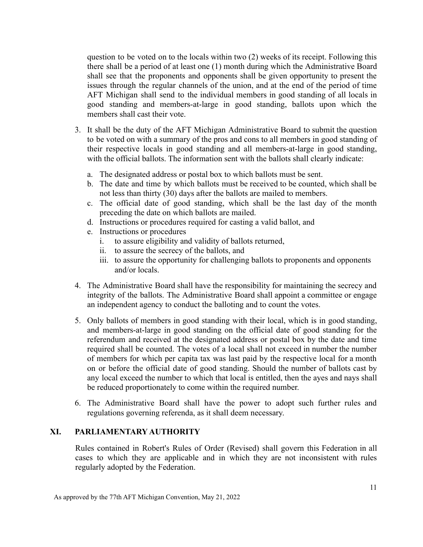question to be voted on to the locals within two (2) weeks of its receipt. Following this there shall be a period of at least one (1) month during which the Administrative Board shall see that the proponents and opponents shall be given opportunity to present the issues through the regular channels of the union, and at the end of the period of time AFT Michigan shall send to the individual members in good standing of all locals in good standing and members-at-large in good standing, ballots upon which the members shall cast their vote.

- 3. It shall be the duty of the AFT Michigan Administrative Board to submit the question to be voted on with a summary of the pros and cons to all members in good standing of their respective locals in good standing and all members-at-large in good standing, with the official ballots. The information sent with the ballots shall clearly indicate:
	- a. The designated address or postal box to which ballots must be sent.
	- b. The date and time by which ballots must be received to be counted, which shall be not less than thirty (30) days after the ballots are mailed to members.
	- c. The official date of good standing, which shall be the last day of the month preceding the date on which ballots are mailed.
	- d. Instructions or procedures required for casting a valid ballot, and
	- e. Instructions or procedures
		- i. to assure eligibility and validity of ballots returned,
		- ii. to assure the secrecy of the ballots, and
		- iii. to assure the opportunity for challenging ballots to proponents and opponents and/or locals.
- 4. The Administrative Board shall have the responsibility for maintaining the secrecy and integrity of the ballots. The Administrative Board shall appoint a committee or engage an independent agency to conduct the balloting and to count the votes.
- 5. Only ballots of members in good standing with their local, which is in good standing, and members-at-large in good standing on the official date of good standing for the referendum and received at the designated address or postal box by the date and time required shall be counted. The votes of a local shall not exceed in number the number of members for which per capita tax was last paid by the respective local for a month on or before the official date of good standing. Should the number of ballots cast by any local exceed the number to which that local is entitled, then the ayes and nays shall be reduced proportionately to come within the required number.
- 6. The Administrative Board shall have the power to adopt such further rules and regulations governing referenda, as it shall deem necessary.

#### **XI. PARLIAMENTARY AUTHORITY**

Rules contained in Robert's Rules of Order (Revised) shall govern this Federation in all cases to which they are applicable and in which they are not inconsistent with rules regularly adopted by the Federation.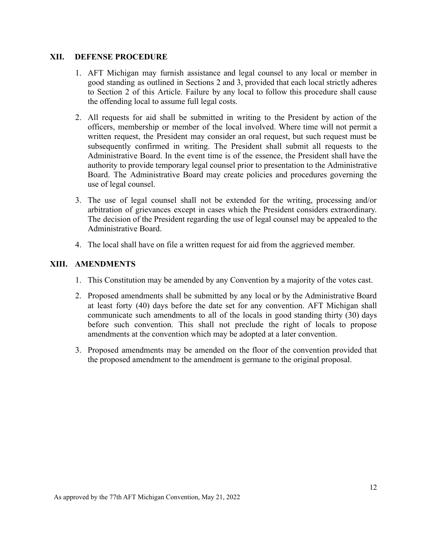#### **XII. DEFENSE PROCEDURE**

- 1. AFT Michigan may furnish assistance and legal counsel to any local or member in good standing as outlined in Sections 2 and 3, provided that each local strictly adheres to Section 2 of this Article. Failure by any local to follow this procedure shall cause the offending local to assume full legal costs.
- 2. All requests for aid shall be submitted in writing to the President by action of the officers, membership or member of the local involved. Where time will not permit a written request, the President may consider an oral request, but such request must be subsequently confirmed in writing. The President shall submit all requests to the Administrative Board. In the event time is of the essence, the President shall have the authority to provide temporary legal counsel prior to presentation to the Administrative Board. The Administrative Board may create policies and procedures governing the use of legal counsel.
- 3. The use of legal counsel shall not be extended for the writing, processing and/or arbitration of grievances except in cases which the President considers extraordinary. The decision of the President regarding the use of legal counsel may be appealed to the Administrative Board.
- 4. The local shall have on file a written request for aid from the aggrieved member.

#### **XIII. AMENDMENTS**

- 1. This Constitution may be amended by any Convention by a majority of the votes cast.
- 2. Proposed amendments shall be submitted by any local or by the Administrative Board at least forty (40) days before the date set for any convention. AFT Michigan shall communicate such amendments to all of the locals in good standing thirty (30) days before such convention. This shall not preclude the right of locals to propose amendments at the convention which may be adopted at a later convention.
- 3. Proposed amendments may be amended on the floor of the convention provided that the proposed amendment to the amendment is germane to the original proposal.